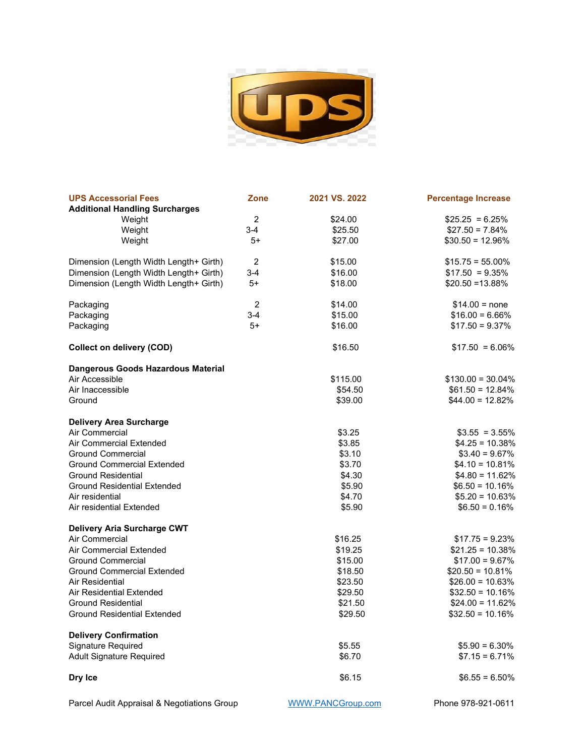

| <b>UPS Accessorial Fees</b>            | <b>Zone</b>    | 2021 VS. 2022 | <b>Percentage Increase</b> |
|----------------------------------------|----------------|---------------|----------------------------|
| <b>Additional Handling Surcharges</b>  |                |               |                            |
| Weight                                 | $\overline{2}$ | \$24.00       | $$25.25 = 6.25\%$          |
| Weight                                 | $3-4$          | \$25.50       | $$27.50 = 7.84\%$          |
| Weight                                 | 5+             | \$27.00       | $$30.50 = 12.96\%$         |
| Dimension (Length Width Length+ Girth) | $\overline{2}$ | \$15.00       | $$15.75 = 55.00\%$         |
| Dimension (Length Width Length+ Girth) | $3-4$          | \$16.00       | $$17.50 = 9.35\%$          |
| Dimension (Length Width Length+ Girth) | $5+$           | \$18.00       | $$20.50 = 13.88\%$         |
| Packaging                              | $\overline{c}$ | \$14.00       | $$14.00 = none$            |
| Packaging                              | $3-4$          | \$15.00       | $$16.00 = 6.66\%$          |
| Packaging                              | $5+$           | \$16.00       | $$17.50 = 9.37\%$          |
| <b>Collect on delivery (COD)</b>       |                | \$16.50       | $$17.50 = 6.06\%$          |
| Dangerous Goods Hazardous Material     |                |               |                            |
| Air Accessible                         |                | \$115.00      | $$130.00 = 30.04\%$        |
| Air Inaccessible                       |                | \$54.50       | $$61.50 = 12.84\%$         |
| Ground                                 |                | \$39.00       | $$44.00 = 12.82\%$         |
| <b>Delivery Area Surcharge</b>         |                |               |                            |
| Air Commercial                         |                | \$3.25        | $$3.55 = 3.55\%$           |
| Air Commercial Extended                |                | \$3.85        | $$4.25 = 10.38\%$          |
| <b>Ground Commercial</b>               |                | \$3.10        | $$3.40 = 9.67\%$           |
| <b>Ground Commercial Extended</b>      |                | \$3.70        | $$4.10 = 10.81\%$          |
| <b>Ground Residential</b>              |                | \$4.30        | $$4.80 = 11.62\%$          |
| <b>Ground Residential Extended</b>     |                | \$5.90        | $$6.50 = 10.16\%$          |
| Air residential                        |                | \$4.70        | $$5.20 = 10.63\%$          |
| Air residential Extended               |                | \$5.90        | $$6.50 = 0.16\%$           |
| Delivery Aria Surcharge CWT            |                |               |                            |
| Air Commercial                         |                | \$16.25       | $$17.75 = 9.23\%$          |
| Air Commercial Extended                |                | \$19.25       | $$21.25 = 10.38\%$         |
| <b>Ground Commercial</b>               |                | \$15.00       | $$17.00 = 9.67\%$          |
| <b>Ground Commercial Extended</b>      |                | \$18.50       | $$20.50 = 10.81\%$         |
| Air Residential                        |                | \$23.50       | $$26.00 = 10.63\%$         |
| Air Residential Extended               |                | \$29.50       | $$32.50 = 10.16\%$         |
| <b>Ground Residential</b>              |                | \$21.50       | $$24.00 = 11.62\%$         |
| <b>Ground Residential Extended</b>     |                | \$29.50       | $$32.50 = 10.16\%$         |
| <b>Delivery Confirmation</b>           |                |               |                            |
| Signature Required                     |                | \$5.55        | $$5.90 = 6.30\%$           |
| <b>Adult Signature Required</b>        |                | \$6.70        | $$7.15 = 6.71\%$           |
| Dry Ice                                |                | \$6.15        | $$6.55 = 6.50\%$           |
|                                        |                |               |                            |